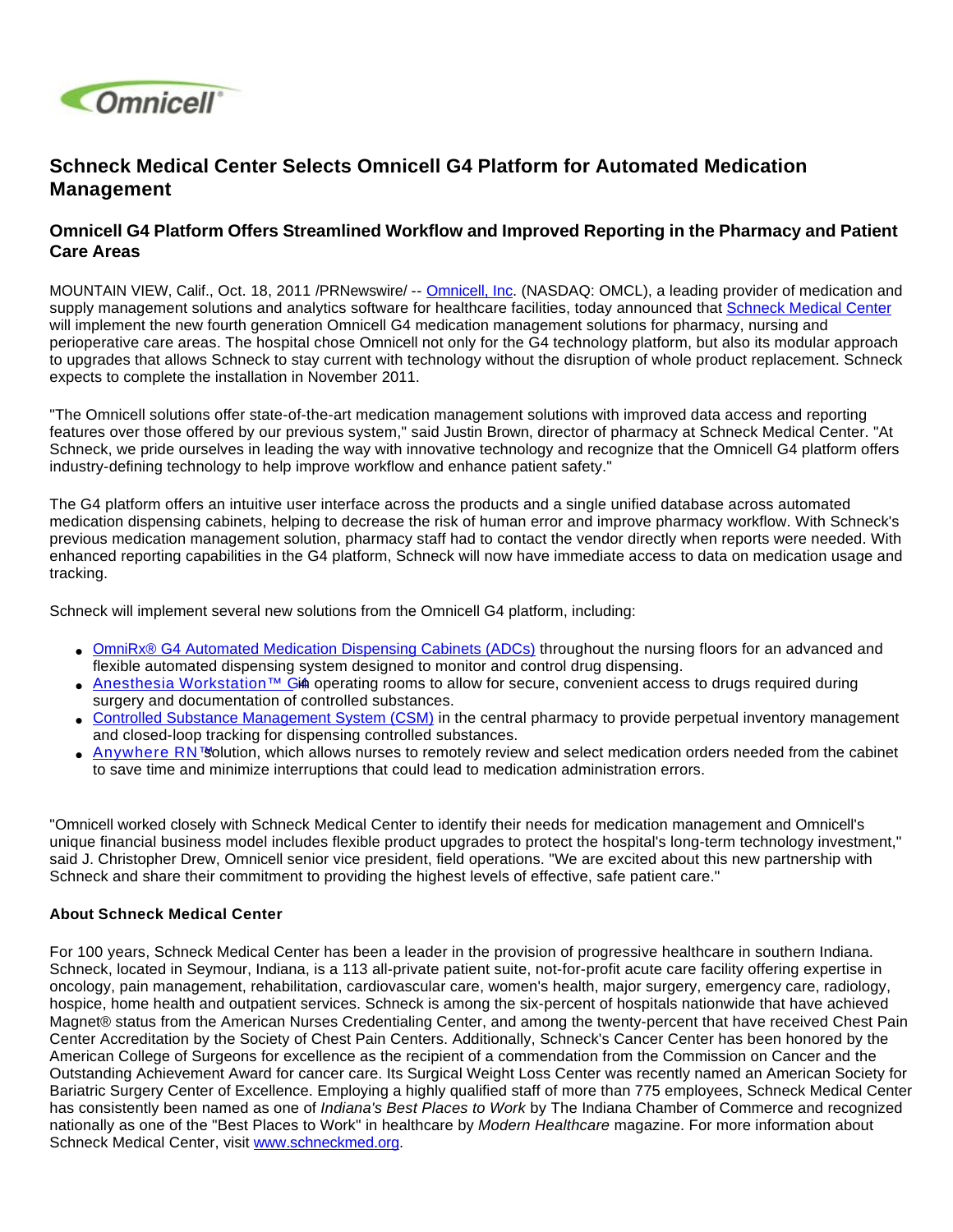

## **Schneck Medical Center Selects Omnicell G4 Platform for Automated Medication Management**

## **Omnicell G4 Platform Offers Streamlined Workflow and Improved Reporting in the Pharmacy and Patient Care Areas**

MOUNTAIN VIEW, Calif., Oct. 18, 2011 /PRNewswire/ -- [Omnicell, Inc.](http://www.omnicell.com/) (NASDAQ: OMCL), a leading provider of medication and supply management solutions and analytics software for healthcare facilities, today announced that [Schneck Medical Center](http://schneckmed.org/) will implement the new fourth generation Omnicell G4 medication management solutions for pharmacy, nursing and perioperative care areas. The hospital chose Omnicell not only for the G4 technology platform, but also its modular approach to upgrades that allows Schneck to stay current with technology without the disruption of whole product replacement. Schneck expects to complete the installation in November 2011.

"The Omnicell solutions offer state-of-the-art medication management solutions with improved data access and reporting features over those offered by our previous system," said Justin Brown, director of pharmacy at Schneck Medical Center. "At Schneck, we pride ourselves in leading the way with innovative technology and recognize that the Omnicell G4 platform offers industry-defining technology to help improve workflow and enhance patient safety."

The G4 platform offers an intuitive user interface across the products and a single unified database across automated medication dispensing cabinets, helping to decrease the risk of human error and improve pharmacy workflow. With Schneck's previous medication management solution, pharmacy staff had to contact the vendor directly when reports were needed. With enhanced reporting capabilities in the G4 platform, Schneck will now have immediate access to data on medication usage and tracking.

Schneck will implement several new solutions from the Omnicell G4 platform, including:

- [OmniRx® G4 Automated Medication Dispensing Cabinets \(ADCs\)](http://www.omnicell.com/Products/Medication_Dispensing/Automated_Medication_Dispensing_Cabinets.aspx) throughout the nursing floors for an advanced and flexible automated dispensing system designed to monitor and control drug dispensing.
- [Anesthesia Workstation™ G](http://www.omnicell.com/Products/Medication_Dispensing/Anesthesia_Workstation_G4.aspx)inoperating rooms to allow for secure, convenient access to drugs required during surgery and documentation of controlled substances.
- [Controlled Substance Management System \(CSM\)](http://www.omnicell.com/Products/Central_Pharmacy_Automation/Controlled_Substance_Management_System.aspx) in the central pharmacy to provide perpetual inventory management and closed-loop tracking for dispensing controlled substances.
- [Anywhere RN™](http://www.omnicell.com/Products/Medication_Dispensing/Anywhere_RN_Remote_Medication_Management.aspx) solution, which allows nurses to remotely review and select medication orders needed from the cabinet to save time and minimize interruptions that could lead to medication administration errors.

"Omnicell worked closely with Schneck Medical Center to identify their needs for medication management and Omnicell's unique financial business model includes flexible product upgrades to protect the hospital's long-term technology investment," said J. Christopher Drew, Omnicell senior vice president, field operations. "We are excited about this new partnership with Schneck and share their commitment to providing the highest levels of effective, safe patient care."

## **About Schneck Medical Center**

For 100 years, Schneck Medical Center has been a leader in the provision of progressive healthcare in southern Indiana. Schneck, located in Seymour, Indiana, is a 113 all-private patient suite, not-for-profit acute care facility offering expertise in oncology, pain management, rehabilitation, cardiovascular care, women's health, major surgery, emergency care, radiology, hospice, home health and outpatient services. Schneck is among the six-percent of hospitals nationwide that have achieved Magnet® status from the American Nurses Credentialing Center, and among the twenty-percent that have received Chest Pain Center Accreditation by the Society of Chest Pain Centers. Additionally, Schneck's Cancer Center has been honored by the American College of Surgeons for excellence as the recipient of a commendation from the Commission on Cancer and the Outstanding Achievement Award for cancer care. Its Surgical Weight Loss Center was recently named an American Society for Bariatric Surgery Center of Excellence. Employing a highly qualified staff of more than 775 employees, Schneck Medical Center has consistently been named as one of Indiana's Best Places to Work by The Indiana Chamber of Commerce and recognized nationally as one of the "Best Places to Work" in healthcare by Modern Healthcare magazine. For more information about Schneck Medical Center, visit [www.schneckmed.org.](http://www.schneckmed.org/)